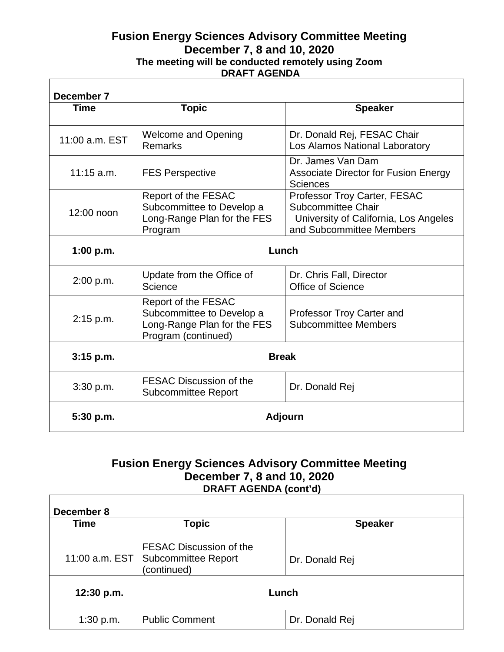## **Fusion Energy Sciences Advisory Committee Meeting December 7, 8 and 10, 2020 The meeting will be conducted remotely using Zoom DRAFT AGENDA**

| December 7     |                                                                                                        |                                                                                                                         |
|----------------|--------------------------------------------------------------------------------------------------------|-------------------------------------------------------------------------------------------------------------------------|
| Time           | <b>Topic</b>                                                                                           | <b>Speaker</b>                                                                                                          |
| 11:00 a.m. EST | <b>Welcome and Opening</b><br><b>Remarks</b>                                                           | Dr. Donald Rej, FESAC Chair<br>Los Alamos National Laboratory                                                           |
| $11:15$ a.m.   | <b>FES Perspective</b>                                                                                 | Dr. James Van Dam<br><b>Associate Director for Fusion Energy</b><br><b>Sciences</b>                                     |
| 12:00 noon     | Report of the FESAC<br>Subcommittee to Develop a<br>Long-Range Plan for the FES<br>Program             | Professor Troy Carter, FESAC<br>Subcommittee Chair<br>University of California, Los Angeles<br>and Subcommittee Members |
| 1:00 p.m.      | Lunch                                                                                                  |                                                                                                                         |
| 2:00 p.m.      | Update from the Office of<br>Science                                                                   | Dr. Chris Fall, Director<br>Office of Science                                                                           |
| 2:15 p.m.      | Report of the FESAC<br>Subcommittee to Develop a<br>Long-Range Plan for the FES<br>Program (continued) | Professor Troy Carter and<br><b>Subcommittee Members</b>                                                                |
| $3:15$ p.m.    | <b>Break</b>                                                                                           |                                                                                                                         |
| 3:30 p.m.      | FESAC Discussion of the<br><b>Subcommittee Report</b>                                                  | Dr. Donald Rej                                                                                                          |
| 5:30 p.m.      | <b>Adjourn</b>                                                                                         |                                                                                                                         |

## **Fusion Energy Sciences Advisory Committee Meeting December 7, 8 and 10, 2020 DRAFT AGENDA (cont'd)**

| December 8<br>Time | <b>Topic</b>                                                         | <b>Speaker</b> |
|--------------------|----------------------------------------------------------------------|----------------|
| 11:00 a.m. EST     | FESAC Discussion of the<br><b>Subcommittee Report</b><br>(continued) | Dr. Donald Rej |
| 12:30 p.m.         | Lunch                                                                |                |
| 1:30 p.m.          | <b>Public Comment</b>                                                | Dr. Donald Rej |